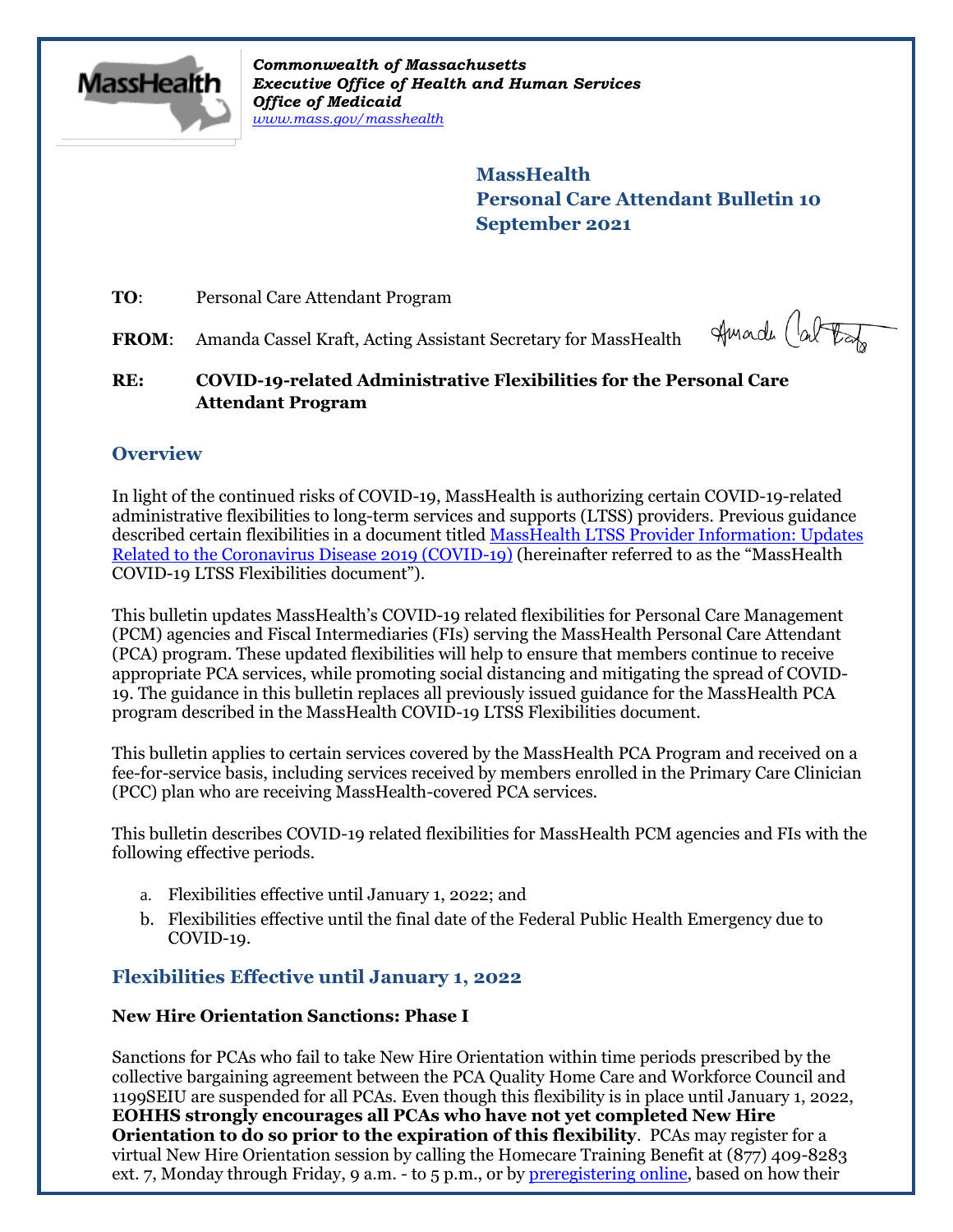

*Commonwealth of Massachusetts Executive Office of Health and Human Services Office of Medicaid [www.mass.gov/masshealth](http://www.mass.gov/masshealth)*

> **MassHealth Personal Care Attendant Bulletin 10 September 2021**

**TO**: Personal Care Attendant Program

FROM: Amanda Cassel Kraft, Acting Assistant Secretary for MassHealth

Huade (at tax

## **RE: COVID-19-related Administrative Flexibilities for the Personal Care Attendant Program**

# **Overview**

In light of the continued risks of COVID-19, MassHealth is authorizing certain COVID-19-related administrative flexibilities to long-term services and supports (LTSS) providers. Previous guidance described certain flexibilities in a document titled MassHealth LTSS Provider Information: Updates [Related to the Coronavirus Disease 2019 \(COVID-19\)](https://www.mass.gov/doc/ltss-provider-updates-for-covid-19/download?_ga=2.42790818.662193150.1607551634-447905752.1588271315) (hereinafter referred to as the "MassHealth COVID-19 LTSS Flexibilities document").

This bulletin updates MassHealth's COVID-19 related flexibilities for Personal Care Management (PCM) agencies and Fiscal Intermediaries (FIs) serving the MassHealth Personal Care Attendant (PCA) program. These updated flexibilities will help to ensure that members continue to receive appropriate PCA services, while promoting social distancing and mitigating the spread of COVID-19. The guidance in this bulletin replaces all previously issued guidance for the MassHealth PCA program described in the MassHealth COVID-19 LTSS Flexibilities document.

This bulletin applies to certain services covered by the MassHealth PCA Program and received on a fee-for-service basis, including services received by members enrolled in the Primary Care Clinician (PCC) plan who are receiving MassHealth-covered PCA services.

This bulletin describes COVID-19 related flexibilities for MassHealth PCM agencies and FIs with the following effective periods.

- a. Flexibilities effective until January 1, 2022; and
- b. Flexibilities effective until the final date of the Federal Public Health Emergency due to COVID-19.

# **Flexibilities Effective until January 1, 2022**

## **New Hire Orientation Sanctions: Phase I**

Sanctions for PCAs who fail to take New Hire Orientation within time periods prescribed by the collective bargaining agreement between the PCA Quality Home Care and Workforce Council and 1199SEIU are suspended for all PCAs. Even though this flexibility is in place until January 1, 2022, **EOHHS strongly encourages all PCAs who have not yet completed New Hire Orientation to do so prior to the expiration of this flexibility**. PCAs may register for a virtual New Hire Orientation session by calling the Homecare Training Benefit at (877) 409-8283 ext. 7, Monday through Friday, 9 a.m. - to 5 p.m., or by [preregistering](https://app.smartsheet.com/b/form/0294a9c1568c4c70ac0fa84c6679b297) online, based on how their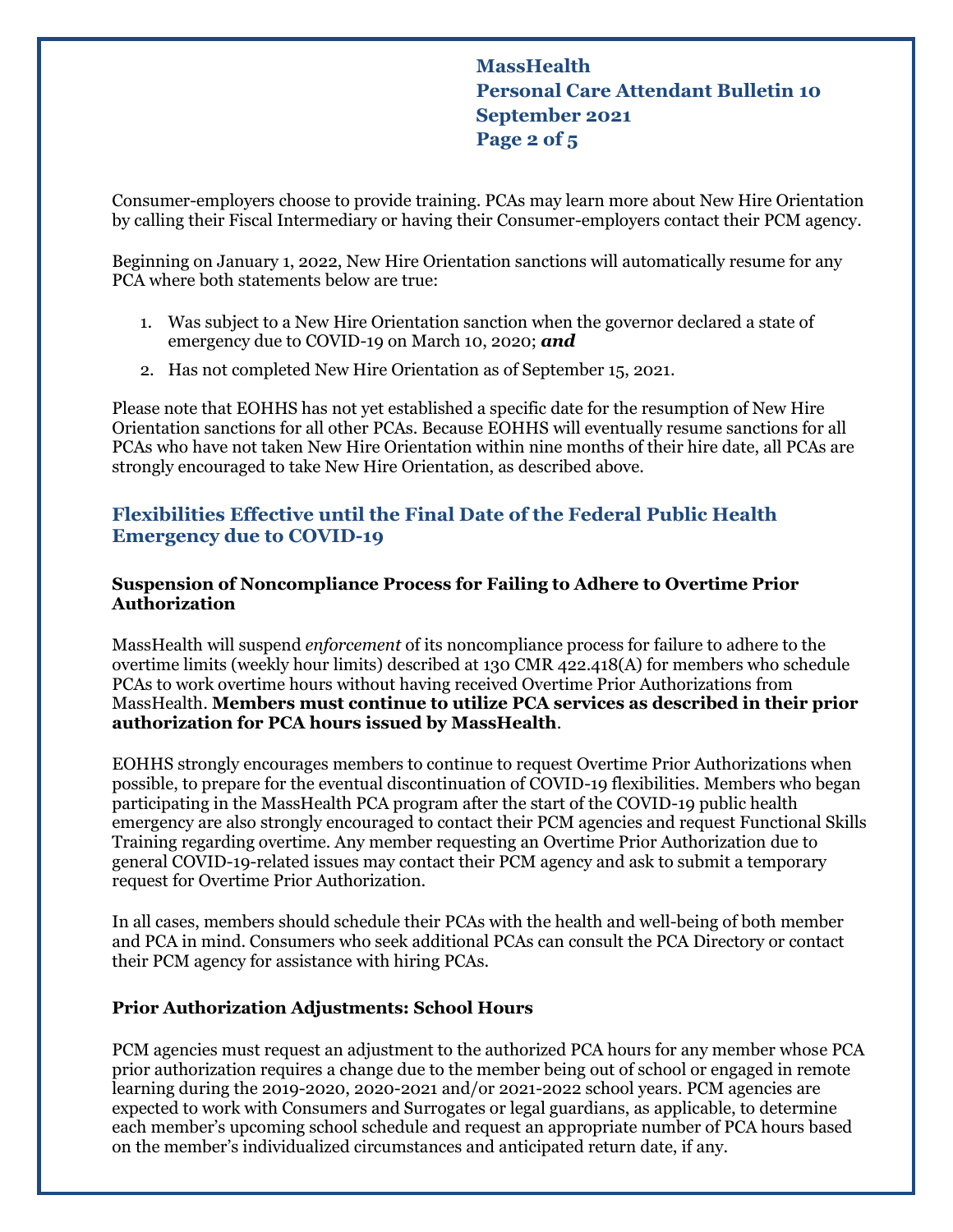# **MassHealth Personal Care Attendant Bulletin 10 September 2021 Page 2 of 5**

Consumer-employers choose to provide training. PCAs may learn more about New Hire Orientation by calling their Fiscal Intermediary or having their Consumer-employers contact their PCM agency.

Beginning on January 1, 2022, New Hire Orientation sanctions will automatically resume for any PCA where both statements below are true:

- 1. Was subject to a New Hire Orientation sanction when the governor declared a state of emergency due to COVID-19 on March 10, 2020; *and*
- 2. Has not completed New Hire Orientation as of September 15, 2021.

Please note that EOHHS has not yet established a specific date for the resumption of New Hire Orientation sanctions for all other PCAs. Because EOHHS will eventually resume sanctions for all PCAs who have not taken New Hire Orientation within nine months of their hire date, all PCAs are strongly encouraged to take New Hire Orientation, as described above.

## **Flexibilities Effective until the Final Date of the Federal Public Health Emergency due to COVID-19**

## **Suspension of Noncompliance Process for Failing to Adhere to Overtime Prior Authorization**

MassHealth will suspend *enforcement* of its noncompliance process for failure to adhere to the overtime limits (weekly hour limits) described at 130 CMR 422.418(A) for members who schedule PCAs to work overtime hours without having received Overtime Prior Authorizations from MassHealth. **Members must continue to utilize PCA services as described in their prior authorization for PCA hours issued by MassHealth**.

EOHHS strongly encourages members to continue to request Overtime Prior Authorizations when possible, to prepare for the eventual discontinuation of COVID-19 flexibilities. Members who began participating in the MassHealth PCA program after the start of the COVID-19 public health emergency are also strongly encouraged to contact their PCM agencies and request Functional Skills Training regarding overtime. Any member requesting an Overtime Prior Authorization due to general COVID-19-related issues may contact their PCM agency and ask to submit a temporary request for Overtime Prior Authorization.

In all cases, members should schedule their PCAs with the health and well-being of both member and PCA in mind. Consumers who seek additional PCAs can consult the PCA Directory or contact their PCM agency for assistance with hiring PCAs.

## **Prior Authorization Adjustments: School Hours**

PCM agencies must request an adjustment to the authorized PCA hours for any member whose PCA prior authorization requires a change due to the member being out of school or engaged in remote learning during the 2019-2020, 2020-2021 and/or 2021-2022 school years. PCM agencies are expected to work with Consumers and Surrogates or legal guardians, as applicable, to determine each member's upcoming school schedule and request an appropriate number of PCA hours based on the member's individualized circumstances and anticipated return date, if any.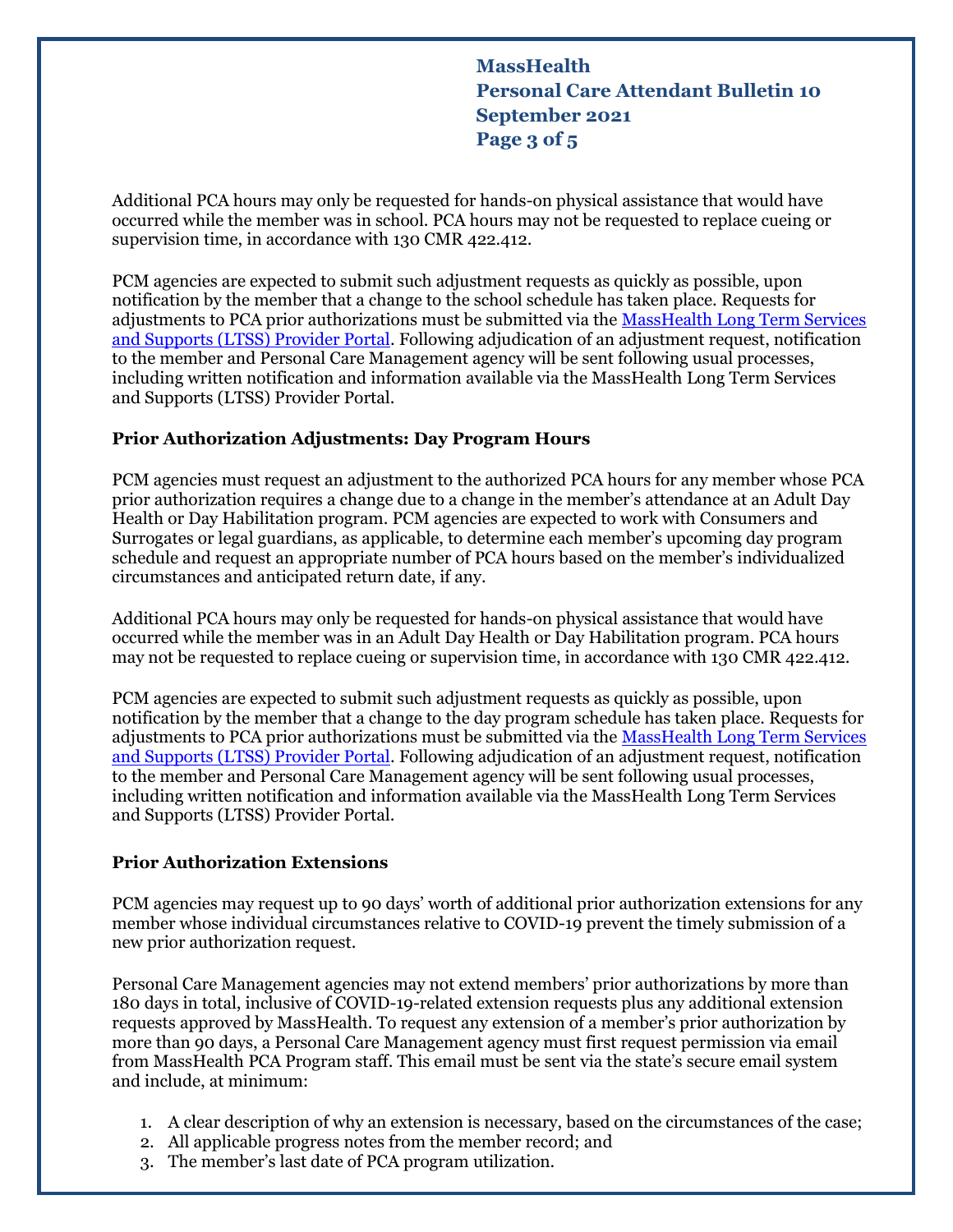**MassHealth Personal Care Attendant Bulletin 10 September 2021 Page 3 of 5**

Additional PCA hours may only be requested for hands-on physical assistance that would have occurred while the member was in school. PCA hours may not be requested to replace cueing or supervision time, in accordance with 130 CMR 422.412.

PCM agencies are expected to submit such adjustment requests as quickly as possible, upon notification by the member that a change to the school schedule has taken place. Requests for adjustments to PCA prior authorizations must be submitted via the [MassHealth Long Term Services](https://www.masshealthltss.com/s/?language=en_US)  [and Supports \(LTSS\) Provider Portal.](https://www.masshealthltss.com/s/?language=en_US) Following adjudication of an adjustment request, notification to the member and Personal Care Management agency will be sent following usual processes, including written notification and information available via the MassHealth Long Term Services and Supports (LTSS) Provider Portal.

### **Prior Authorization Adjustments: Day Program Hours**

PCM agencies must request an adjustment to the authorized PCA hours for any member whose PCA prior authorization requires a change due to a change in the member's attendance at an Adult Day Health or Day Habilitation program. PCM agencies are expected to work with Consumers and Surrogates or legal guardians, as applicable, to determine each member's upcoming day program schedule and request an appropriate number of PCA hours based on the member's individualized circumstances and anticipated return date, if any.

Additional PCA hours may only be requested for hands-on physical assistance that would have occurred while the member was in an Adult Day Health or Day Habilitation program. PCA hours may not be requested to replace cueing or supervision time, in accordance with 130 CMR 422.412.

PCM agencies are expected to submit such adjustment requests as quickly as possible, upon notification by the member that a change to the day program schedule has taken place. Requests for adjustments to PCA prior authorizations must be submitted via the MassHealth Long Term Services [and Supports \(LTSS\) Provider Portal.](https://www.masshealthltss.com/s/?language=en_US) Following adjudication of an adjustment request, notification to the member and Personal Care Management agency will be sent following usual processes, including written notification and information available via the MassHealth Long Term Services and Supports (LTSS) Provider Portal.

#### **Prior Authorization Extensions**

PCM agencies may request up to 90 days' worth of additional prior authorization extensions for any member whose individual circumstances relative to COVID-19 prevent the timely submission of a new prior authorization request.

Personal Care Management agencies may not extend members' prior authorizations by more than 180 days in total, inclusive of COVID-19-related extension requests plus any additional extension requests approved by MassHealth. To request any extension of a member's prior authorization by more than 90 days, a Personal Care Management agency must first request permission via email from MassHealth PCA Program staff. This email must be sent via the state's secure email system and include, at minimum:

- 1. A clear description of why an extension is necessary, based on the circumstances of the case;
- 2. All applicable progress notes from the member record; and
- 3. The member's last date of PCA program utilization.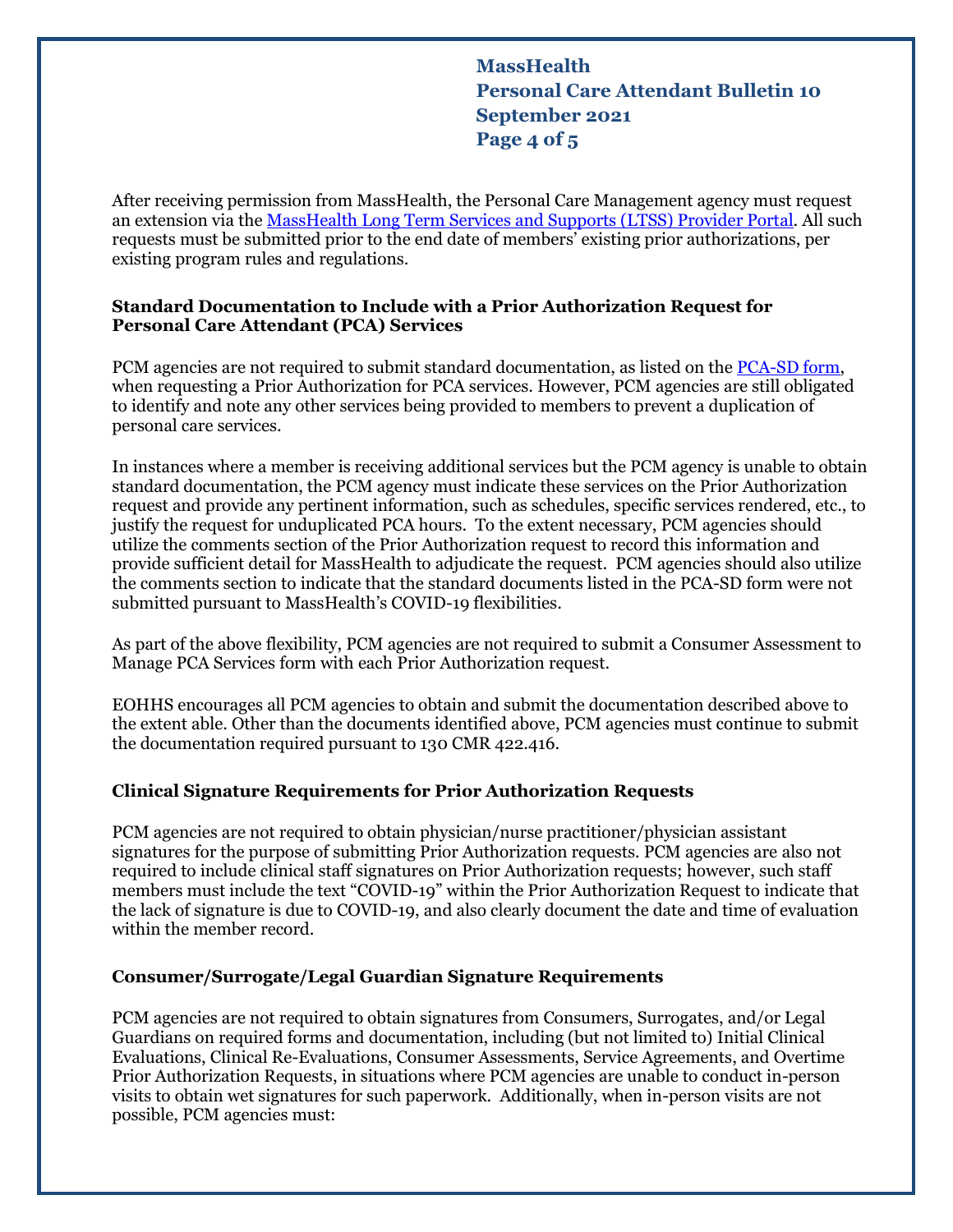# **MassHealth Personal Care Attendant Bulletin 10 September 2021 Page 4 of 5**

After receiving permission from MassHealth, the Personal Care Management agency must request an extension via the [MassHealth Long Term Services and Supports \(LTSS\) Provider Portal.](https://www.masshealthltss.com/s/?language=en_US) All such requests must be submitted prior to the end date of members' existing prior authorizations, per existing program rules and regulations.

### **Standard Documentation to Include with a Prior Authorization Request for Personal Care Attendant (PCA) Services**

PCM agencies are not required to submit standard documentation, as listed on the [PCA-SD form,](https://www.mass.gov/files/2017-08/standard%20doc%20-%20pca.pdf) when requesting a Prior Authorization for PCA services. However, PCM agencies are still obligated to identify and note any other services being provided to members to prevent a duplication of personal care services.

In instances where a member is receiving additional services but the PCM agency is unable to obtain standard documentation, the PCM agency must indicate these services on the Prior Authorization request and provide any pertinent information, such as schedules, specific services rendered, etc., to justify the request for unduplicated PCA hours. To the extent necessary, PCM agencies should utilize the comments section of the Prior Authorization request to record this information and provide sufficient detail for MassHealth to adjudicate the request. PCM agencies should also utilize the comments section to indicate that the standard documents listed in the PCA-SD form were not submitted pursuant to MassHealth's COVID-19 flexibilities.

As part of the above flexibility, PCM agencies are not required to submit a Consumer Assessment to Manage PCA Services form with each Prior Authorization request.

EOHHS encourages all PCM agencies to obtain and submit the documentation described above to the extent able. Other than the documents identified above, PCM agencies must continue to submit the documentation required pursuant to 130 CMR 422.416.

## **Clinical Signature Requirements for Prior Authorization Requests**

PCM agencies are not required to obtain physician/nurse practitioner/physician assistant signatures for the purpose of submitting Prior Authorization requests. PCM agencies are also not required to include clinical staff signatures on Prior Authorization requests; however, such staff members must include the text "COVID-19" within the Prior Authorization Request to indicate that the lack of signature is due to COVID-19, and also clearly document the date and time of evaluation within the member record.

## **Consumer/Surrogate/Legal Guardian Signature Requirements**

PCM agencies are not required to obtain signatures from Consumers, Surrogates, and/or Legal Guardians on required forms and documentation, including (but not limited to) Initial Clinical Evaluations, Clinical Re-Evaluations, Consumer Assessments, Service Agreements, and Overtime Prior Authorization Requests, in situations where PCM agencies are unable to conduct in-person visits to obtain wet signatures for such paperwork. Additionally, when in-person visits are not possible, PCM agencies must: